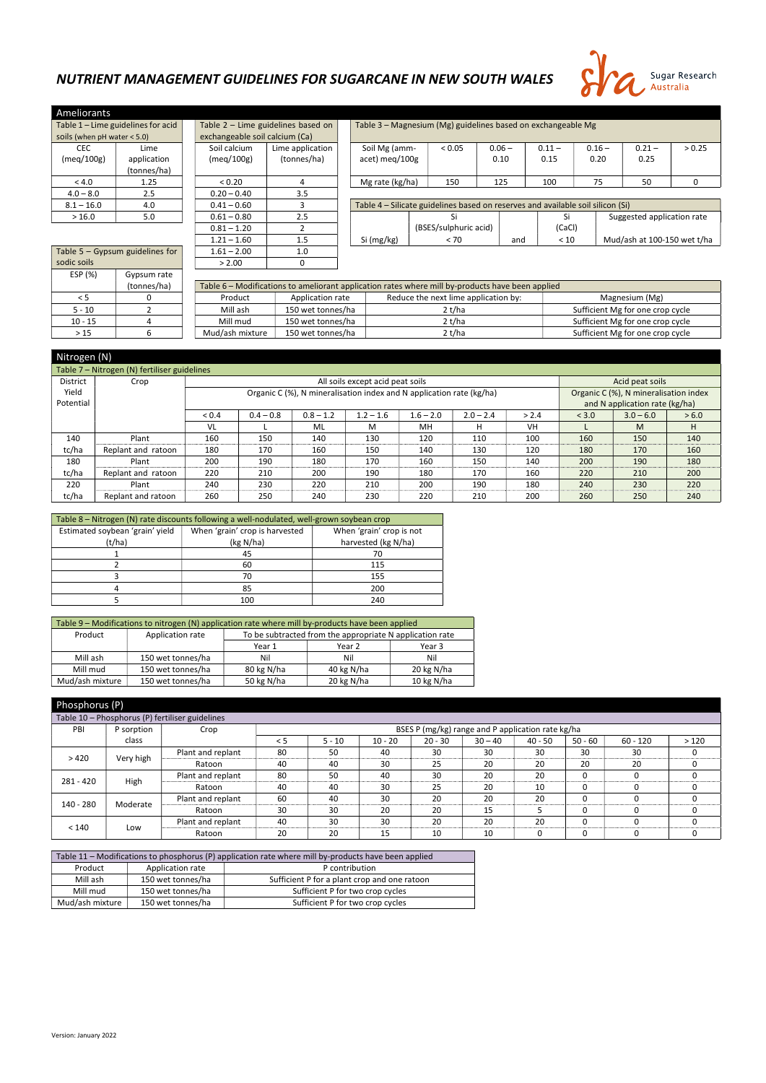Version: January 2022

## NUTRIENT MANAGEMENT GUIDELINES FOR SUGARCANE IN NEW SOUTH WALES



| <b>Ameliorants</b>                 |             |  |  |  |  |  |  |
|------------------------------------|-------------|--|--|--|--|--|--|
| Table 1 - Lime guidelines for acid |             |  |  |  |  |  |  |
| soils (when $pH$ water < 5.0)      |             |  |  |  |  |  |  |
| CEC                                | Lime        |  |  |  |  |  |  |
| (meg/100g)                         | application |  |  |  |  |  |  |
|                                    | (tonnes/ha) |  |  |  |  |  |  |
| < 4.0                              | 1.25        |  |  |  |  |  |  |
| $4.0 - 8.0$                        | 2.5         |  |  |  |  |  |  |
| $8.1 - 16.0$                       | 4.0         |  |  |  |  |  |  |
| >16.0                              | 5.0         |  |  |  |  |  |  |

| <b>REIDIANS</b>             |                                 |  |                                |                                    |  |                               |  |                            |
|-----------------------------|---------------------------------|--|--------------------------------|------------------------------------|--|-------------------------------|--|----------------------------|
|                             | le 1 - Lime guidelines for acid |  |                                | Table 2 - Lime guidelines based on |  |                               |  | Table 3 - Magnesium (Mg) g |
| $s$ (when pH water $<$ 5.0) |                                 |  | exchangeable soil calcium (Ca) |                                    |  |                               |  |                            |
| <b>CEC</b>                  | Lime                            |  | Soil calcium                   | Lime application                   |  | Soil Mg (amm-                 |  | < 0.0                      |
| neq/100g)                   | application                     |  | (meq/100g)                     | (tonnes/ha)                        |  | acet) meg/100g                |  |                            |
|                             | (tonnes/ha)                     |  |                                |                                    |  |                               |  |                            |
| < 4.0                       | 1.25                            |  | < 0.20                         | 4                                  |  | Mg rate (kg/ha)               |  | 15 <sub>C</sub>            |
| $4.0 - 8.0$                 | 2.5                             |  | $0.20 - 0.40$                  | 3.5                                |  |                               |  |                            |
| $3.1 - 16.0$                | 4.0                             |  | $0.41 - 0.60$                  | 3                                  |  | Table 4 – Silicate guidelines |  |                            |
| >16.0                       | 5.0                             |  | $0.61 - 0.80$                  | 2.5                                |  |                               |  | Si                         |
|                             |                                 |  | $0.81 - 1.20$                  | 2                                  |  |                               |  | (BSES/sulph                |
|                             |                                 |  | $1.21 - 1.60$<br>1.5           |                                    |  | Si (mg/kg)                    |  | < 7                        |
|                             | le 5 - Gypsum guidelines for    |  | $1.61 - 2.00$                  | 1.0                                |  |                               |  |                            |

 $> 2.00$  0

| ble 1 – Lime guidelines for acid<br>Table $2$ – Lime guidelines based on   |                            |               |                                              |                    | Table 3 - Magnesium (Mg) guidelines based on exchangeable Mg |                                                                                 |          |      |          |                             |  |                            |        |
|----------------------------------------------------------------------------|----------------------------|---------------|----------------------------------------------|--------------------|--------------------------------------------------------------|---------------------------------------------------------------------------------|----------|------|----------|-----------------------------|--|----------------------------|--------|
| ils (when $pH$ water $< 5.0$ )                                             |                            |               | exchangeable soil calcium (Ca)               |                    |                                                              |                                                                                 |          |      |          |                             |  |                            |        |
| <b>CEC</b>                                                                 | Lime                       |               | Soil calcium                                 | Lime application   | Soil Mg (amm-                                                | < 0.05                                                                          | $0.06 -$ |      | $0.11 -$ | $0.16 -$                    |  | $0.21 -$                   | > 0.25 |
| meg/100g)                                                                  | application<br>(tonnes/ha) |               | (meq/100g)                                   | (tonnes/ha)        | acet) meg/100g                                               |                                                                                 | 0.10     |      | 0.15     | 0.20                        |  | 0.25                       |        |
| < 4.0                                                                      | 1.25                       |               | < 0.20                                       |                    | Mg rate (kg/ha)                                              | 150                                                                             | 125      |      | 100      | 75                          |  | 50                         | 0      |
| $4.0 - 8.0$                                                                | 2.5                        |               | $0.20 - 0.40$                                | 3.5                |                                                              |                                                                                 |          |      |          |                             |  |                            |        |
| $8.1 - 16.0$                                                               | 4.0                        |               | $0.41 - 0.60$                                |                    |                                                              | Table 4 – Silicate guidelines based on reserves and available soil silicon (Si) |          |      |          |                             |  |                            |        |
| >16.0                                                                      | 5.0                        |               | $0.61 - 0.80$                                | 2.5                |                                                              |                                                                                 |          |      |          |                             |  | Suggested application rate |        |
|                                                                            |                            |               | $0.81 - 1.20$                                |                    |                                                              | (BSES/sulphuric acid)                                                           |          |      | (CaCl)   |                             |  |                            |        |
|                                                                            |                            | $1.21 - 1.60$ | 1.5                                          | Si (mg/kg)<br>< 70 |                                                              |                                                                                 | and      | < 10 |          | Mud/ash at 100-150 wet t/ha |  |                            |        |
| $\mathbf{H} \mathbf{F}$ and $\mathbf{F}$ and $\mathbf{F}$ and $\mathbf{F}$ |                            |               | $\overline{a}$ $\overline{a}$ $\overline{a}$ | $\sim$             |                                                              |                                                                                 |          |      |          |                             |  |                            |        |

| sodic soils | Table $5 - Gy$ sum guidelines for |
|-------------|-----------------------------------|
| ESP (%)     | Gypsum rate                       |
|             | (tonnes/ha)                       |
| $\leq 5$    | 0                                 |
| $5 - 10$    | 2                                 |
| $10 - 15$   |                                   |
| >15         |                                   |
|             |                                   |

|           | .           |                 |                                                                                                  |                                      |                                  |  |  |  |  |  |  |  |  |  |  |
|-----------|-------------|-----------------|--------------------------------------------------------------------------------------------------|--------------------------------------|----------------------------------|--|--|--|--|--|--|--|--|--|--|
|           | (tonnes/ha) |                 | Table 6 – Modifications to ameliorant application rates where mill by-products have been applied |                                      |                                  |  |  |  |  |  |  |  |  |  |  |
|           |             | Product         | Application rate                                                                                 | Reduce the next lime application by: | Magnesium (Mg)                   |  |  |  |  |  |  |  |  |  |  |
| $5 - 10$  |             | Mill ash        | 150 wet tonnes/ha                                                                                | 2 t/ha                               | Sufficient Mg for one crop cycle |  |  |  |  |  |  |  |  |  |  |
| $10 - 15$ |             | Mill mud        | 150 wet tonnes/ha                                                                                | 2 t/ha                               | Sufficient Mg for one crop cycle |  |  |  |  |  |  |  |  |  |  |
| >15       |             | Mud/ash mixture | 150 wet tonnes/ha                                                                                | ?t/ha                                | Sufficient Mg for one crop cycle |  |  |  |  |  |  |  |  |  |  |
|           |             |                 |                                                                                                  |                                      |                                  |  |  |  |  |  |  |  |  |  |  |

|                                              | Nitrogen (N)       |            |                                                                                                               |             |                                  |             |             |       |       |                 |       |  |  |
|----------------------------------------------|--------------------|------------|---------------------------------------------------------------------------------------------------------------|-------------|----------------------------------|-------------|-------------|-------|-------|-----------------|-------|--|--|
| Table 7 – Nitrogen (N) fertiliser guidelines |                    |            |                                                                                                               |             |                                  |             |             |       |       |                 |       |  |  |
| District                                     | Crop               |            |                                                                                                               |             | All soils except acid peat soils |             |             |       |       | Acid peat soils |       |  |  |
| Yield                                        |                    |            | Organic C (%), N mineralisation index and N application rate (kg/ha)<br>Organic C (%), N mineralisation index |             |                                  |             |             |       |       |                 |       |  |  |
| Potential                                    |                    |            | and N application rate (kg/ha)                                                                                |             |                                  |             |             |       |       |                 |       |  |  |
|                                              |                    | ${}_{0.4}$ | $0.4 - 0.8$                                                                                                   | $0.8 - 1.2$ | $1.2 - 1.6$                      | $1.6 - 2.0$ | $2.0 - 2.4$ | > 2.4 | < 3.0 | $3.0 - 6.0$     | > 6.0 |  |  |
|                                              |                    | VL         |                                                                                                               | ML          | M                                | MH          | н           | VH    |       | M               | н     |  |  |
| 140                                          | Plant              | 160        | 150                                                                                                           | 140         | 130                              | 120         | 110         | 100   | 160   | 150             | 140   |  |  |
| tc/ha                                        | Replant and ratoon | 180        | 170                                                                                                           | 160         | 150                              | 140         | 130         | 120   | 180   | 170             | 160   |  |  |
| 180                                          | Plant              | 200        | 190                                                                                                           | 180         | 170                              | 160         | 150         | 140   | 200   | 190             | 180   |  |  |
| tc/ha                                        | Replant and ratoon | 220        | 210                                                                                                           | 200         | 190                              | 180         | 170         | 160   | 220   | 210             | 200   |  |  |
| 220                                          | Plant              | 240        | 230                                                                                                           | 220         | 210                              | 200         | 190         | 180   | 240   | 230             | 220   |  |  |
| tc/ha                                        | Replant and ratoon | 260        | 250                                                                                                           | 240         | 230                              | 220         | 210         | 200   | 260   | 250             | 240   |  |  |

| Table 8 - Nitrogen (N) rate discounts following a well-nodulated, well-grown soybean crop |                          |                     |  |  |  |  |  |  |  |
|-------------------------------------------------------------------------------------------|--------------------------|---------------------|--|--|--|--|--|--|--|
| Estimated soybean 'grain' yield                                                           | When 'grain' crop is not |                     |  |  |  |  |  |  |  |
| (t/ha)                                                                                    | (kg N/ha)                | harvested (kg N/ha) |  |  |  |  |  |  |  |
|                                                                                           | 45                       | 70                  |  |  |  |  |  |  |  |
|                                                                                           | 60                       | 115                 |  |  |  |  |  |  |  |
|                                                                                           | 70                       | 155                 |  |  |  |  |  |  |  |
|                                                                                           | 85                       | 200                 |  |  |  |  |  |  |  |
|                                                                                           | 100                      | 240                 |  |  |  |  |  |  |  |

| Table 9 - Modifications to nitrogen (N) application rate where mill by-products have been applied |                            |                                                          |            |            |  |  |  |  |  |  |
|---------------------------------------------------------------------------------------------------|----------------------------|----------------------------------------------------------|------------|------------|--|--|--|--|--|--|
| Product                                                                                           | Application rate           | To be subtracted from the appropriate N application rate |            |            |  |  |  |  |  |  |
|                                                                                                   | Year 2<br>Year 1<br>Year 3 |                                                          |            |            |  |  |  |  |  |  |
| Mill ash                                                                                          | 150 wet tonnes/ha          | Nil                                                      | Nil        | Nil        |  |  |  |  |  |  |
| Mill mud                                                                                          | 150 wet tonnes/ha          | 80 kg N/ha                                               | 40 kg N/ha | 20 kg N/ha |  |  |  |  |  |  |
| Mud/ash mixture                                                                                   | 150 wet tonnes/ha          | 20 kg N/ha<br>10 kg N/ha<br>50 kg N/ha                   |            |            |  |  |  |  |  |  |

|                                                 | Phosphorus (P) |                   |          |                                                   |           |           |           |           |         |            |      |  |
|-------------------------------------------------|----------------|-------------------|----------|---------------------------------------------------|-----------|-----------|-----------|-----------|---------|------------|------|--|
| Table 10 - Phosphorus (P) fertiliser guidelines |                |                   |          |                                                   |           |           |           |           |         |            |      |  |
| PBI                                             | P sorption     | Crop              |          | BSES P (mg/kg) range and P application rate kg/ha |           |           |           |           |         |            |      |  |
|                                                 | class          |                   | $\leq$ 5 | $5 - 10$                                          | $10 - 20$ | $20 - 30$ | $30 - 40$ | $40 - 50$ | 50 - 60 | $60 - 120$ | >120 |  |
| >420                                            |                | Plant and replant | 80       | 50                                                | 40        | 30        | 30        | 30        | 30      | 30         |      |  |
|                                                 | Very high      | Ratoon            | 40       | 40                                                | 30        | 25        | 20        | 20        | 20      | 20         |      |  |
| $281 - 420$                                     |                | Plant and replant | 80       | 50                                                | 40        | 30        | 20        | 20        | 0       |            |      |  |
|                                                 | High           | Ratoon            | 40       | 40                                                | 30        | 25        | 20        | 10        | 0       |            |      |  |
| 140 - 280                                       | Moderate       | Plant and replant | 60       | 40                                                | 30        | 20        | 20        | 20        | 0       |            |      |  |
|                                                 |                | Ratoon            | 30       | 30                                                | 20        | 20        | 15        |           | 0       |            |      |  |

| 110<br>Low<br>ᅩᅮ | Plant and replant | 41 | ົ<br>эч | ാറ  | 20<br>- | . . |  |  |
|------------------|-------------------|----|---------|-----|---------|-----|--|--|
|                  | Ratoon            |    |         | . . |         |     |  |  |

|                                                                               | Table 11 – Modifications to phosphorus (P) application rate where mill by-products have been applied |                                  |  |  |  |  |  |  |  |  |
|-------------------------------------------------------------------------------|------------------------------------------------------------------------------------------------------|----------------------------------|--|--|--|--|--|--|--|--|
| Product<br>Application rate<br>P contribution                                 |                                                                                                      |                                  |  |  |  |  |  |  |  |  |
| 150 wet tonnes/ha<br>Sufficient P for a plant crop and one ratoon<br>Mill ash |                                                                                                      |                                  |  |  |  |  |  |  |  |  |
| Mill mud                                                                      | 150 wet tonnes/ha                                                                                    | Sufficient P for two crop cycles |  |  |  |  |  |  |  |  |
| Mud/ash mixture                                                               | 150 wet tonnes/ha                                                                                    | Sufficient P for two crop cycles |  |  |  |  |  |  |  |  |